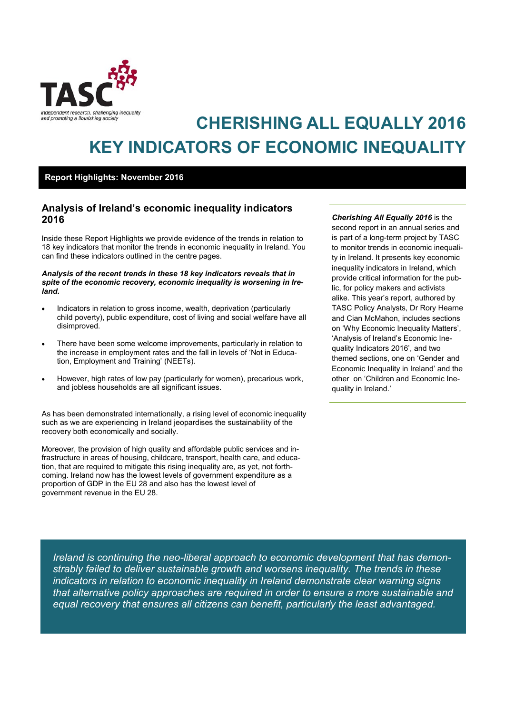

# **CHERISHING ALL EQUALLY 2016 KEY INDICATORS OF ECONOMIC INEQUALITY**

#### **Report Highlights: November 2016**

### **Analysis of Ireland's economic inequality indicators 2016**

Inside these Report Highlights we provide evidence of the trends in relation to 18 key indicators that monitor the trends in economic inequality in Ireland. You can find these indicators outlined in the centre pages.

#### *Analysis of the recent trends in these 18 key indicators reveals that in spite of the economic recovery, economic inequality is worsening in Ireland.*

- Indicators in relation to gross income, wealth, deprivation (particularly child poverty), public expenditure, cost of living and social welfare have all disimproved.
- There have been some welcome improvements, particularly in relation to the increase in employment rates and the fall in levels of 'Not in Education, Employment and Training' (NEETs).
- However, high rates of low pay (particularly for women), precarious work, and jobless households are all significant issues.

As has been demonstrated internationally, a rising level of economic inequality such as we are experiencing in Ireland jeopardises the sustainability of the recovery both economically and socially.

Moreover, the provision of high quality and affordable public services and infrastructure in areas of housing, childcare, transport, health care, and education, that are required to mitigate this rising inequality are, as yet, not forthcoming. Ireland now has the lowest levels of government expenditure as a proportion of GDP in the EU 28 and also has the lowest level of government revenue in the EU 28.

*Cherishing All Equally 2016* is the second report in an annual series and is part of a long-term project by TASC to monitor trends in economic inequality in Ireland. It presents key economic inequality indicators in Ireland, which provide critical information for the public, for policy makers and activists alike. This year's report, authored by TASC Policy Analysts, Dr Rory Hearne and Cian McMahon, includes sections on 'Why Economic Inequality Matters', 'Analysis of Ireland's Economic Inequality Indicators 2016', and two themed sections, one on 'Gender and Economic Inequality in Ireland' and the other on 'Children and Economic Inequality in Ireland.'

*Ireland is continuing the neo-liberal approach to economic development that has demonstrably failed to deliver sustainable growth and worsens inequality. The trends in these indicators in relation to economic inequality in Ireland demonstrate clear warning signs that alternative policy approaches are required in order to ensure a more sustainable and equal recovery that ensures all citizens can benefit, particularly the least advantaged.*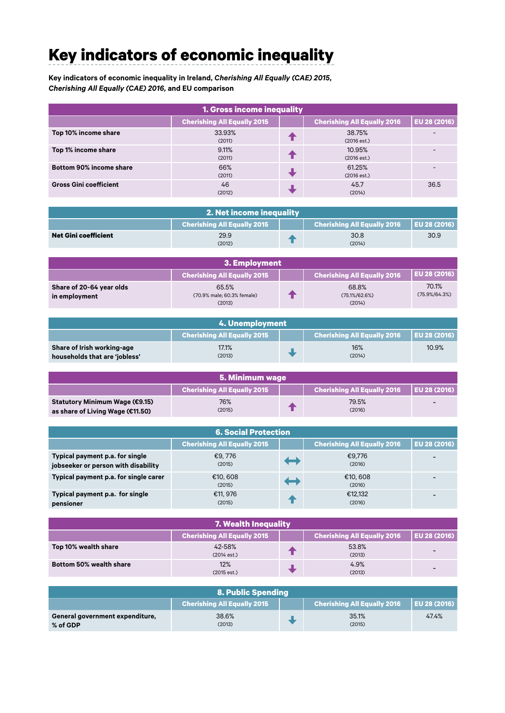## **Key indicators of economic inequality Key indicators of economic inequality**

**Table 2: Key indicators of economic inequality in Ireland,** *Cherishing All Equally (CAE) 2015,*  **Table 2: Key indicators of economic inequality in Ireland,** *Cherishing All Equally (CAE) 2015, Cherishing All Equally (CAE) 2016,* **and EU comparison** *Cherishing All Equally (CAE) 2016,* **and EU comparison**

| 1. Gross income inequality    |                                    |  |                                    |              |
|-------------------------------|------------------------------------|--|------------------------------------|--------------|
|                               | <b>Cherishing All Equally 2015</b> |  | <b>Cherishing All Equally 2016</b> | EU 28 (2016) |
| Top 10% income share          | 33.93%<br>(2011)                   |  | 38.75%<br>(2016 est.)              |              |
| Top 1% income share           | 9.11%<br>(2011)                    |  | 10.95%<br>(2016est.)               |              |
| Bottom 90% income share       | 66%<br>(2011)                      |  | 61.25%<br>(2016 est.)              |              |
| <b>Gross Gini coefficient</b> | 46<br>(2012)                       |  | 45.7<br>(2014)                     | 36.5         |

| 2. Net income inequality    |                                    |  |                                            |      |
|-----------------------------|------------------------------------|--|--------------------------------------------|------|
|                             | <b>Cherishing All Equally 2015</b> |  | Cherishing All Equally 2016   EU 28 (2016) |      |
| <b>Net Gini coefficient</b> | 29.9                               |  | 30.8                                       | 30.9 |
|                             | (2012)                             |  | (2014)                                     |      |

| 3. Employment            |                                      |  |                                    |                     |
|--------------------------|--------------------------------------|--|------------------------------------|---------------------|
|                          | <b>Cherishing All Equally 2015</b>   |  | <b>Cherishing All Equally 2016</b> | <b>EU 28 (2016)</b> |
| Share of 20-64 year olds | 65.5%                                |  | 68.8%                              | 70.1%               |
| in employment            | (70.9% male; 60.3% female)<br>(2013) |  | $(75.1\%/62.6\%)$<br>(2014)        | $(75.9\%/64.3\%)$   |

| 4. Unemployment               |                                    |  |                                                 |       |
|-------------------------------|------------------------------------|--|-------------------------------------------------|-------|
|                               | <b>Cherishing All Equally 2015</b> |  | Cherishing All Equally 2016 $\mid$ EU 28 (2016) |       |
| Share of Irish working-age    | 17.1%                              |  | 16%                                             | 10.9% |
| households that are 'jobless' | (2013)                             |  | (2014)                                          |       |

| 5. Minimum wage                  |                                    |  |                                                  |  |
|----------------------------------|------------------------------------|--|--------------------------------------------------|--|
|                                  | <b>Cherishing All Equally 2015</b> |  | Cherishing All Equally 2016 $\vert$ EU 28 (2016) |  |
| Statutory Minimum Wage (€9.15)   | 76%                                |  | 79.5%                                            |  |
| as share of Living Wage (€11.50) | (2015)                             |  | (2016)                                           |  |

| <b>6. Social Protection</b>                                            |                                    |                       |                                    |              |
|------------------------------------------------------------------------|------------------------------------|-----------------------|------------------------------------|--------------|
|                                                                        | <b>Cherishing All Equally 2015</b> |                       | <b>Cherishing All Equally 2016</b> | EU 28 (2016) |
| Typical payment p.a. for single<br>jobseeker or person with disability | €9,776<br>(2015)                   | $\blacktriangleright$ | €9,776<br>(2016)                   |              |
| Typical payment p.a. for single carer                                  | €10,608<br>(2015)                  | Ħ                     | €10,608<br>(2016)                  |              |
| Typical payment p.a. for single<br>pensioner                           | €11, 976<br>(2015)                 |                       | €12,132<br>(2016)                  |              |

| <b>7. Wealth Inequality</b>    |                                    |  |                                    |                     |
|--------------------------------|------------------------------------|--|------------------------------------|---------------------|
|                                | <b>Cherishing All Equally 2015</b> |  | <b>Cherishing All Equally 2016</b> | <b>EU 28 (2016)</b> |
| Top 10% wealth share           | 42-58%<br>(2014 est.)              |  | 53.8%<br>(2013)                    |                     |
| <b>Bottom 50% wealth share</b> | 12%<br>(2015 est.)                 |  | 4.9%<br>(2013)                     |                     |

| 8. Public Spending                                                                            |        |  |        |       |
|-----------------------------------------------------------------------------------------------|--------|--|--------|-------|
| <b>Cherishing All Equally 2016</b> $\vert$ EU 28 (2016)<br><b>Cherishing All Equally 2015</b> |        |  |        |       |
| General government expenditure,                                                               | 38.6%  |  | 35.1%  | 47.4% |
| % of GDP                                                                                      | (2013) |  | (2015) |       |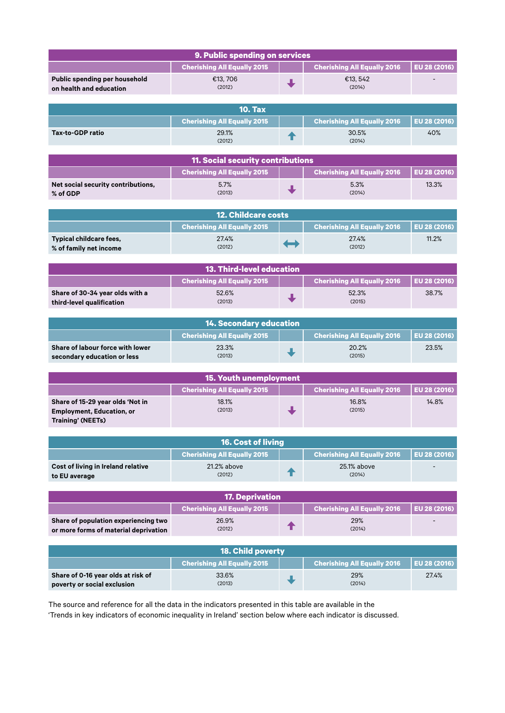| 9. Public spending on services                           |                                    |   |                                    |                          |  |
|----------------------------------------------------------|------------------------------------|---|------------------------------------|--------------------------|--|
|                                                          | <b>Cherishing All Equally 2015</b> |   | <b>Cherishing All Equally 2016</b> | EU 28 (2016)             |  |
| Public spending per household<br>on health and education | €13,706<br>(2012)                  |   | €13, 542<br>(2014)                 | $\overline{\phantom{0}}$ |  |
| <b>10. Tax</b>                                           |                                    |   |                                    |                          |  |
|                                                          | <b>Cherishing All Equally 2015</b> |   | <b>Cherishing All Equally 2016</b> | EU 28 (2016)             |  |
| <b>Tax-to-GDP ratio</b>                                  | 29.1%<br>(2012)                    | T | 30.5%<br>(2014)                    | 40%                      |  |

| <b>11. Social security contributions</b>       |                                    |  |                                    |              |
|------------------------------------------------|------------------------------------|--|------------------------------------|--------------|
|                                                | <b>Cherishing All Equally 2015</b> |  | <b>Cherishing All Equally 2016</b> | EU 28 (2016) |
| Net social security contributions,<br>% of GDP | 5.7%<br>(2013)                     |  | 5.3%<br>(2014)                     | 13.3%        |

| <b>12. Childcare costs</b>                        |                                    |                          |                                                   |       |
|---------------------------------------------------|------------------------------------|--------------------------|---------------------------------------------------|-------|
|                                                   | <b>Cherishing All Equally 2015</b> |                          | <b>Cherishing All Equally 2016   EU 28 (2016)</b> |       |
| Typical childcare fees,<br>% of family net income | 27.4%<br>(2012)                    | $\overline{\phantom{a}}$ | 27.4%<br>(2012)                                   | 11.2% |

| <b>13. Third-level education</b>                                                                 |                 |  |                 |       |
|--------------------------------------------------------------------------------------------------|-----------------|--|-----------------|-------|
| <b>Cherishing All Equally 2016</b><br><b>LEU 28 (2016)</b><br><b>Cherishing All Equally 2015</b> |                 |  |                 |       |
| Share of 30-34 year olds with a                                                                  | 52.6%<br>(2013) |  | 52.3%<br>(2015) | 38.7% |
| third-level qualification                                                                        |                 |  |                 |       |

| <b>14. Secondary education</b>                                  |                                    |  |                                                   |       |
|-----------------------------------------------------------------|------------------------------------|--|---------------------------------------------------|-------|
|                                                                 | <b>Cherishing All Equally 2015</b> |  | <b>Cherishing All Equally 2016   EU 28 (2016)</b> |       |
| Share of labour force with lower<br>secondary education or less | 23.3%<br>(2013)                    |  | 20.2%<br>(2015)                                   | 23.5% |

| <b>15. Youth unemployment</b>    |                                    |  |                                    |              |
|----------------------------------|------------------------------------|--|------------------------------------|--------------|
|                                  | <b>Cherishing All Equally 2015</b> |  | <b>Cherishing All Equally 2016</b> | EU 28 (2016) |
| Share of 15-29 year olds 'Not in | 18.1%                              |  | 16.8%                              | 14.8%        |
| <b>Employment, Education, or</b> | (2013)                             |  | (2015)                             |              |
| <b>Training' (NEETs)</b>         |                                    |  |                                    |              |

| <b>16. Cost of living</b>                           |                                    |  |                                             |                          |
|-----------------------------------------------------|------------------------------------|--|---------------------------------------------|--------------------------|
|                                                     | <b>Cherishing All Equally 2015</b> |  | Cherishing All Equally 2016 $^{\mathrm{+}}$ | EU 28 (2016)             |
| Cost of living in Ireland relative<br>to EU average | 21.2% above<br>(2012)              |  | 25.1% above<br>(2014)                       | $\overline{\phantom{0}}$ |

| <b>17. Deprivation</b>                                                        |                                    |  |                                            |                          |
|-------------------------------------------------------------------------------|------------------------------------|--|--------------------------------------------|--------------------------|
|                                                                               | <b>Cherishing All Equally 2015</b> |  | Cherishing All Equally 2016   EU 28 (2016) |                          |
| Share of population experiencing two<br>or more forms of material deprivation | 26.9%<br>(2012)                    |  | 29%<br>(2014)                              | $\overline{\phantom{0}}$ |

| <b>18. Child poverty</b>                                          |                                    |  |                                    |              |
|-------------------------------------------------------------------|------------------------------------|--|------------------------------------|--------------|
|                                                                   | <b>Cherishing All Equally 2015</b> |  | <b>Cherishing All Equally 2016</b> | EU 28 (2016) |
| Share of 0-16 year olds at risk of<br>poverty or social exclusion | 33.6%<br>(2013)                    |  | 29%<br>(2014)                      | 27.4%        |

The source and reference for all the data in the indicators presented in this table are available in the 'Trends in key indicators of economic inequality in Ireland' section below where each indicator is discussed.